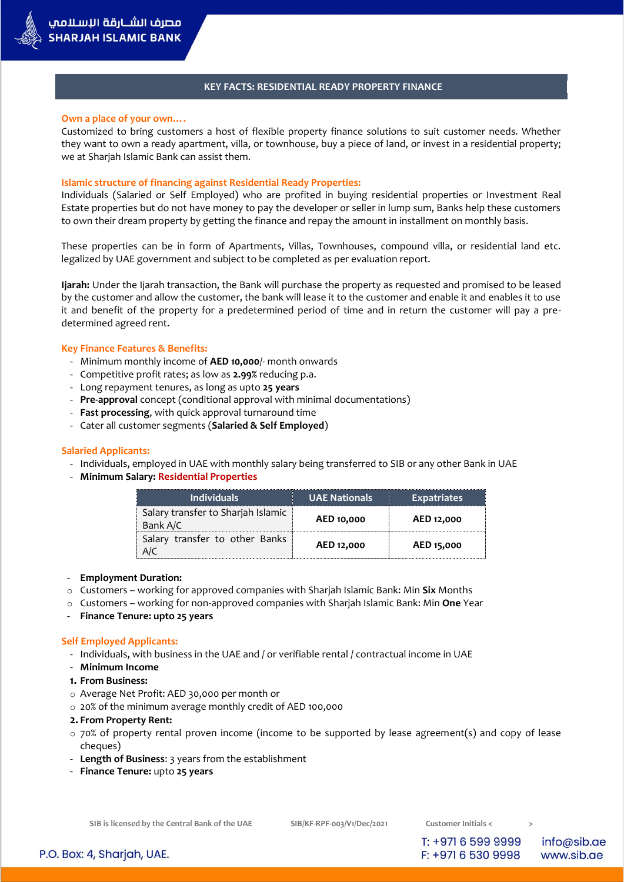### **KEY FACTS: RESIDENTIAL READY PROPERTY FINANCE**

#### **Own a place of your own….**

Customized to bring customers a host of flexible property finance solutions to suit customer needs. Whether they want to own a ready apartment, villa, or townhouse, buy a piece of land, or invest in a residential property; we at Sharjah Islamic Bank can assist them.

### **Islamic structure of financing against Residential Ready Properties:**

Individuals (Salaried or Self Employed) who are profited in buying residential properties or Investment Real Estate properties but do not have money to pay the developer or seller in lump sum, Banks help these customers to own their dream property by getting the finance and repay the amount in installment on monthly basis.

These properties can be in form of Apartments, Villas, Townhouses, compound villa, or residential land etc. legalized by UAE government and subject to be completed as per evaluation report.

**Ijarah:** Under the Ijarah transaction, the Bank will purchase the property as requested and promised to be leased by the customer and allow the customer, the bank will lease it to the customer and enable it and enables it to use it and benefit of the property for a predetermined period of time and in return the customer will pay a predetermined agreed rent.

#### **Key Finance Features & Benefits:**

- Minimum monthly income of **AED 10,000**/- month onwards
- Competitive profit rates; as low as **2.99%** reducing p.a.
- Long repayment tenures, as long as upto **25 years**
- **Pre-approval** concept (conditional approval with minimal documentations)
- **Fast processing**, with quick approval turnaround time
- Cater all customer segments (**Salaried & Self Employed**)

#### **Salaried Applicants:**

- Individuals, employed in UAE with monthly salary being transferred to SIB or any other Bank in UAE
- **Minimum Salary: Residential Properties**

| <b>Individuals</b>                             | UAE Nationals | <b>Expatriates</b> |
|------------------------------------------------|---------------|--------------------|
| Salary transfer to Sharjah Islamic<br>Bank A/C | AED 10,000    | AED 12,000         |
| Salary transfer to other Banks                 | AED 12,000    | AED 15,000         |

- **Employment Duration:**
- o Customers working for approved companies with Sharjah Islamic Bank: Min **Six** Months
- o Customers working for non-approved companies with Sharjah Islamic Bank: Min **One** Year
- **Finance Tenure: upto 25 years**

#### **Self Employed Applicants:**

- Individuals, with business in the UAE and / or verifiable rental / contractual income in UAE
- **Minimum Income**
- **1. From Business:**
- o Average Net Profit: AED 30,000 per month or
- o 20% of the minimum average monthly credit of AED 100,000

#### **2. From Property Rent:**

- $\circ$  70% of property rental proven income (income to be supported by lease agreement(s) and copy of lease cheques)
- **Length of Business**: 3 years from the establishment
- **Finance Tenure:** upto **25 years**

**SIB is licensed by the Central Bank of the UAE SIB/KF-RPF-003/V1/Dec/2021 Customer Initials < >**

T: +971 6 599 9999

F: +971 6 530 9998

info@sib.ae www.sib.ae

P.O. Box: 4, Sharjah, UAE.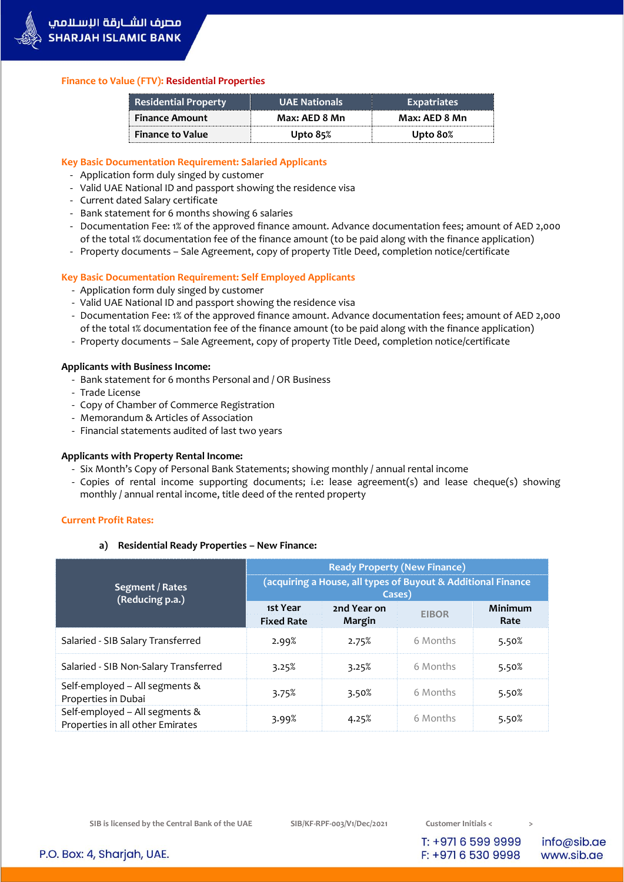# **Finance to Value (FTV): Residential Properties**

| <b>Residential Property</b> | <b>UAE Nationals</b> | <b>Expatriates</b> |  |
|-----------------------------|----------------------|--------------------|--|
| <b>Finance Amount</b>       | Max: AED 8 Mn        | Max: AED 8 Mn      |  |
| <b>Finance to Value</b>     | Upto $85\%$          | Upto 80%           |  |

# **Key Basic Documentation Requirement: Salaried Applicants**

- Application form duly singed by customer
- Valid UAE National ID and passport showing the residence visa
- Current dated Salary certificate
- Bank statement for 6 months showing 6 salaries
- Documentation Fee: 1% of the approved finance amount. Advance documentation fees; amount of AED 2,000 of the total 1% documentation fee of the finance amount (to be paid along with the finance application)
- Property documents Sale Agreement, copy of property Title Deed, completion notice/certificate

# **Key Basic Documentation Requirement: Self Employed Applicants**

- Application form duly singed by customer
- Valid UAE National ID and passport showing the residence visa
- Documentation Fee: 1% of the approved finance amount. Advance documentation fees; amount of AED 2,000 of the total 1% documentation fee of the finance amount (to be paid along with the finance application)
- Property documents Sale Agreement, copy of property Title Deed, completion notice/certificate

# **Applicants with Business Income:**

- Bank statement for 6 months Personal and / OR Business
- Trade License
- Copy of Chamber of Commerce Registration
- Memorandum & Articles of Association
- Financial statements audited of last two years

# **Applicants with Property Rental Income:**

- Six Month's Copy of Personal Bank Statements; showing monthly / annual rental income
- Copies of rental income supporting documents; i.e: lease agreement(s) and lease cheque(s) showing monthly / annual rental income, title deed of the rented property

## **Current Profit Rates:**

## **a) Residential Ready Properties – New Finance:**

|                                                                    | <b>Ready Property (New Finance)</b>                                    |                       |              |                 |
|--------------------------------------------------------------------|------------------------------------------------------------------------|-----------------------|--------------|-----------------|
| Segment / Rates<br>(Reducing p.a.)                                 | (acquiring a House, all types of Buyout & Additional Finance<br>Cases) |                       |              |                 |
|                                                                    | 1st Year<br><b>Fixed Rate</b>                                          | 2nd Year on<br>Margin | <b>EIBOR</b> | Minimum<br>Rate |
| Salaried - SIB Salary Transferred                                  | 2.99%                                                                  | 2.75%                 | 6 Months     | 5.50%           |
| Salaried - SIB Non-Salary Transferred                              | 3.25%                                                                  | 3.25%                 | 6 Months     | 5.50%           |
| Self-employed - All segments &<br>Properties in Dubai              | 3.75%                                                                  | 3.50%                 | 6 Months     | 5.50%           |
| Self-employed - All segments &<br>Properties in all other Emirates | 3.99%                                                                  | 4.25%                 | 6 Months     | 5.50%           |

T: +971 6 599 9999

F: +971 6 530 9998

info@sib.ae www.sib.ae

P.O. Box: 4, Sharjah, UAE.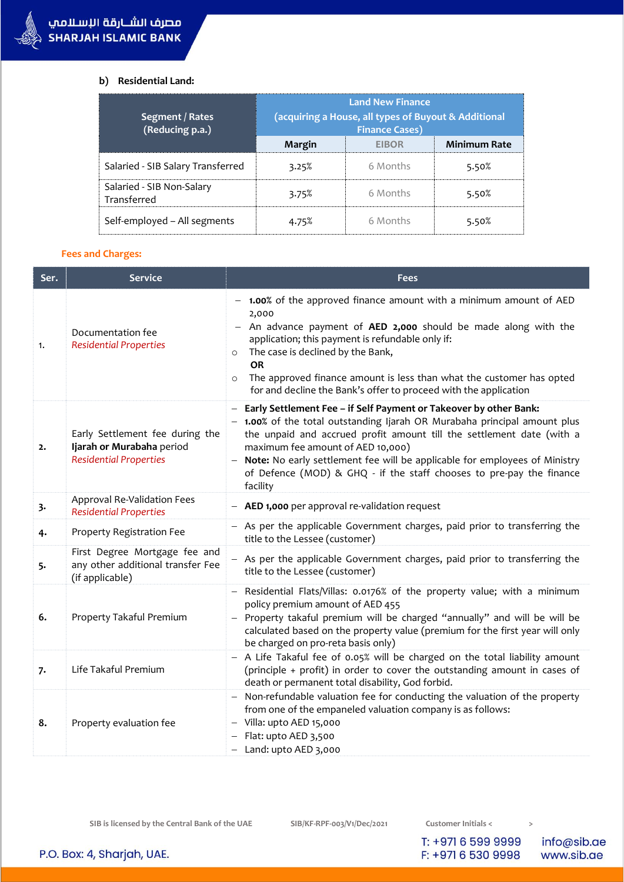# **b) Residential Land:**

| Segment / Rates<br>(Reducing p.a.)       | <b>Land New Finance</b><br>(acquiring a House, all types of Buyout & Additional<br><b>Finance Cases)</b> |              |                     |
|------------------------------------------|----------------------------------------------------------------------------------------------------------|--------------|---------------------|
|                                          | Margin                                                                                                   | <b>FIROR</b> | <b>Minimum Rate</b> |
| Salaried - SIB Salary Transferred        | 3.25%                                                                                                    | 6 Months     | 5.50%               |
| Salaried - SIB Non-Salary<br>Transferred | 3.75%                                                                                                    | 6 Months     | 5.50%               |
| Self-employed – All segments             | 4.75%                                                                                                    | 6 Months     | 5.50%               |

# **Fees and Charges:**

| Ser. | <b>Service</b>                                                                                | Fees                                                                                                                                                                                                                                                                                                                                                                                                                             |  |
|------|-----------------------------------------------------------------------------------------------|----------------------------------------------------------------------------------------------------------------------------------------------------------------------------------------------------------------------------------------------------------------------------------------------------------------------------------------------------------------------------------------------------------------------------------|--|
| 1.   | Documentation fee<br><b>Residential Properties</b>                                            | - 1.00% of the approved finance amount with a minimum amount of AED<br>2,000<br>- An advance payment of $AED$ 2,000 should be made along with the<br>application; this payment is refundable only if:<br>The case is declined by the Bank,<br>$\circ$<br><b>OR</b><br>The approved finance amount is less than what the customer has opted<br>$\circ$<br>for and decline the Bank's offer to proceed with the application        |  |
| 2.   | Early Settlement fee during the<br>Ijarah or Murabaha period<br><b>Residential Properties</b> | - Early Settlement Fee - if Self Payment or Takeover by other Bank:<br>- 1.00% of the total outstanding Ijarah OR Murabaha principal amount plus<br>the unpaid and accrued profit amount till the settlement date (with a<br>maximum fee amount of AED 10,000)<br>Note: No early settlement fee will be applicable for employees of Ministry<br>of Defence (MOD) & GHQ - if the staff chooses to pre-pay the finance<br>facility |  |
| 3.   | Approval Re-Validation Fees<br><b>Residential Properties</b>                                  | - AED 1,000 per approval re-validation request                                                                                                                                                                                                                                                                                                                                                                                   |  |
| 4.   | Property Registration Fee                                                                     | - As per the applicable Government charges, paid prior to transferring the<br>title to the Lessee (customer)                                                                                                                                                                                                                                                                                                                     |  |
| 5.   | First Degree Mortgage fee and<br>any other additional transfer Fee<br>(if applicable)         | - As per the applicable Government charges, paid prior to transferring the<br>title to the Lessee (customer)                                                                                                                                                                                                                                                                                                                     |  |
| 6.   | Property Takaful Premium                                                                      | Residential Flats/Villas: 0.0176% of the property value; with a minimum<br>policy premium amount of AED 455<br>Property takaful premium will be charged "annually" and will be will be<br>calculated based on the property value (premium for the first year will only<br>be charged on pro-reta basis only)                                                                                                                     |  |
| 7.   | Life Takaful Premium                                                                          | - A Life Takaful fee of 0.05% will be charged on the total liability amount<br>(principle + profit) in order to cover the outstanding amount in cases of<br>death or permanent total disability, God forbid.                                                                                                                                                                                                                     |  |
| 8.   | Property evaluation fee                                                                       | - Non-refundable valuation fee for conducting the valuation of the property<br>from one of the empaneled valuation company is as follows:<br>- Villa: upto AED 15,000<br>$-$ Flat: upto AED 3,500<br>$-$ Land: upto AED 3,000                                                                                                                                                                                                    |  |

**SIB is licensed by the Central Bank of the UAE SIB/KF-RPF-003/V1/Dec/2021 Customer Initials < >**

T: +971 6 599 9999

F: +971 6 530 9998

info@sib.ae www.sib.ae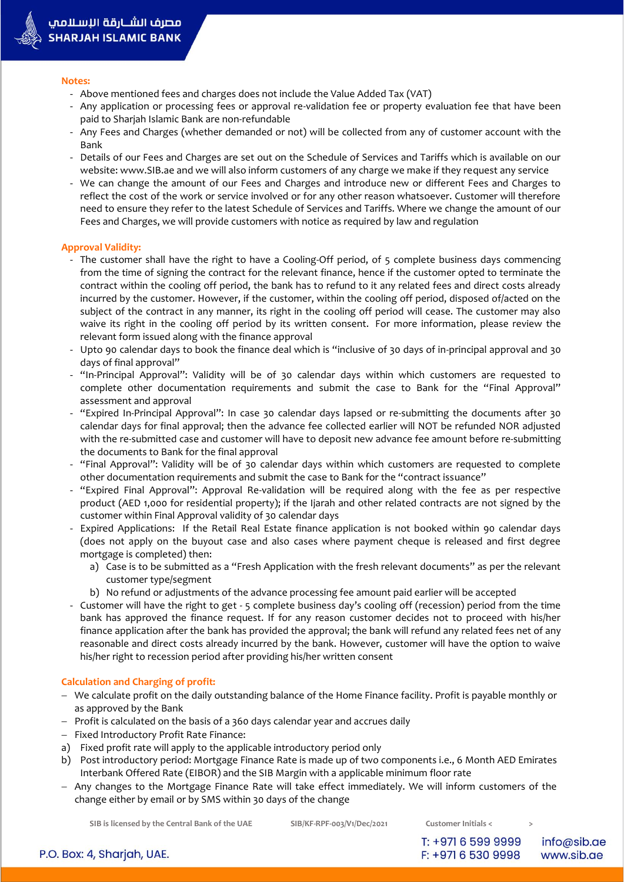#### **Notes:**

- Above mentioned fees and charges does not include the Value Added Tax (VAT)
- Any application or processing fees or approval re-validation fee or property evaluation fee that have been paid to Sharjah Islamic Bank are non-refundable
- Any Fees and Charges (whether demanded or not) will be collected from any of customer account with the Bank
- Details of our Fees and Charges are set out on the Schedule of Services and Tariffs which is available on our website: www.SIB.ae and we will also inform customers of any charge we make if they request any service
- We can change the amount of our Fees and Charges and introduce new or different Fees and Charges to reflect the cost of the work or service involved or for any other reason whatsoever. Customer will therefore need to ensure they refer to the latest Schedule of Services and Tariffs. Where we change the amount of our Fees and Charges, we will provide customers with notice as required by law and regulation

## **Approval Validity:**

- The customer shall have the right to have a Cooling-Off period, of 5 complete business days commencing from the time of signing the contract for the relevant finance, hence if the customer opted to terminate the contract within the cooling off period, the bank has to refund to it any related fees and direct costs already incurred by the customer. However, if the customer, within the cooling off period, disposed of/acted on the subject of the contract in any manner, its right in the cooling off period will cease. The customer may also waive its right in the cooling off period by its written consent. For more information, please review the relevant form issued along with the finance approval
- Upto 90 calendar days to book the finance deal which is "inclusive of 30 days of in-principal approval and 30 days of final approval"
- "In-Principal Approval": Validity will be of 30 calendar days within which customers are requested to complete other documentation requirements and submit the case to Bank for the "Final Approval" assessment and approval
- "Expired In-Principal Approval": In case 30 calendar days lapsed or re-submitting the documents after 30 calendar days for final approval; then the advance fee collected earlier will NOT be refunded NOR adjusted with the re-submitted case and customer will have to deposit new advance fee amount before re-submitting the documents to Bank for the final approval
- "Final Approval": Validity will be of 30 calendar days within which customers are requested to complete other documentation requirements and submit the case to Bank for the "contract issuance"
- "Expired Final Approval": Approval Re-validation will be required along with the fee as per respective product (AED 1,000 for residential property); if the Ijarah and other related contracts are not signed by the customer within Final Approval validity of 30 calendar days
- Expired Applications: If the Retail Real Estate finance application is not booked within 90 calendar days (does not apply on the buyout case and also cases where payment cheque is released and first degree mortgage is completed) then:
	- a) Case is to be submitted as a "Fresh Application with the fresh relevant documents" as per the relevant customer type/segment
	- b) No refund or adjustments of the advance processing fee amount paid earlier will be accepted
- Customer will have the right to get 5 complete business day's cooling off (recession) period from the time bank has approved the finance request. If for any reason customer decides not to proceed with his/her finance application after the bank has provided the approval; the bank will refund any related fees net of any reasonable and direct costs already incurred by the bank. However, customer will have the option to waive his/her right to recession period after providing his/her written consent

## **Calculation and Charging of profit:**

- We calculate profit on the daily outstanding balance of the Home Finance facility. Profit is payable monthly or as approved by the Bank
- $-$  Profit is calculated on the basis of a 360 days calendar year and accrues daily
- Fixed Introductory Profit Rate Finance:
- a) Fixed profit rate will apply to the applicable introductory period only
- b) Post introductory period: Mortgage Finance Rate is made up of two components i.e., 6 Month AED Emirates Interbank Offered Rate (EIBOR) and the SIB Margin with a applicable minimum floor rate
- Any changes to the Mortgage Finance Rate will take effect immediately. We will inform customers of the change either by email or by SMS within 30 days of the change

**SIB is licensed by the Central Bank of the UAE SIB/KF-RPF-003/V1/Dec/2021 Customer Initials < >**

info@sib.ae www.sib.ae

P.O. Box: 4, Sharjah, UAE.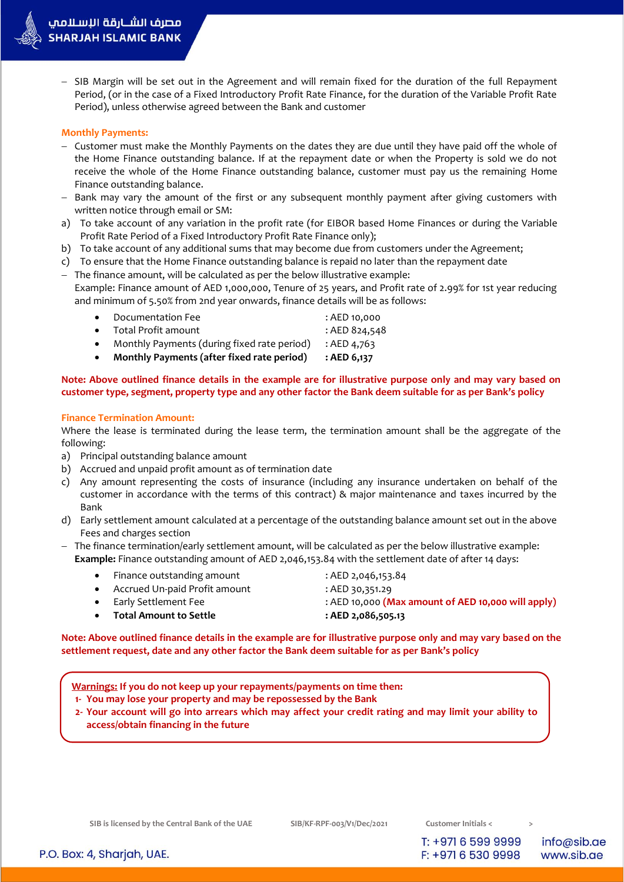- SIB Margin will be set out in the Agreement and will remain fixed for the duration of the full Repayment Period, (or in the case of a Fixed Introductory Profit Rate Finance, for the duration of the Variable Profit Rate Period), unless otherwise agreed between the Bank and customer

## **Monthly Payments:**

- Customer must make the Monthly Payments on the dates they are due until they have paid off the whole of the Home Finance outstanding balance. If at the repayment date or when the Property is sold we do not receive the whole of the Home Finance outstanding balance, customer must pay us the remaining Home Finance outstanding balance.
- Bank may vary the amount of the first or any subsequent monthly payment after giving customers with written notice through email or SM:
- a) To take account of any variation in the profit rate (for EIBOR based Home Finances or during the Variable Profit Rate Period of a Fixed Introductory Profit Rate Finance only);
- b) To take account of any additional sums that may become due from customers under the Agreement;
- c) To ensure that the Home Finance outstanding balance is repaid no later than the repayment date

- The finance amount, will be calculated as per the below illustrative example: Example: Finance amount of AED 1,000,000, Tenure of 25 years, and Profit rate of 2.99% for 1st year reducing and minimum of 5.50% from 2nd year onwards, finance details will be as follows:

| $\bullet$ | Monthly Payments (after fixed rate period)    | : AED 6,137   |
|-----------|-----------------------------------------------|---------------|
|           | • Monthly Payments (during fixed rate period) | : AED 4.763   |
|           | • Total Profit amount                         | : AED 824.548 |
|           | • Documentation Fee                           | : AED 10,000  |

# **Note: Above outlined finance details in the example are for illustrative purpose only and may vary based on customer type, segment, property type and any other factor the Bank deem suitable for as per Bank's policy**

## **Finance Termination Amount:**

Where the lease is terminated during the lease term, the termination amount shall be the aggregate of the following:

- a) Principal outstanding balance amount
- b) Accrued and unpaid profit amount as of termination date
- c) Any amount representing the costs of insurance (including any insurance undertaken on behalf of the customer in accordance with the terms of this contract) & major maintenance and taxes incurred by the Bank
- d) Early settlement amount calculated at a percentage of the outstanding balance amount set out in the above Fees and charges section
- $-$  The finance termination/early settlement amount, will be calculated as per the below illustrative example: **Example:** Finance outstanding amount of AED 2,046,153.84 with the settlement date of after 14 days:
	- Finance outstanding amount : AED 2,046,153.84
		-
	- Accrued Un-paid Profit amount : AED 30,351.29
		-
	-
	- Early Settlement Fee : AED 10,000 **(Max amount of AED 10,000 will apply)**
		- **Total Amount to Settle : AED 2,086,505.13**

**Note: Above outlined finance details in the example are for illustrative purpose only and may vary based on the settlement request, date and any other factor the Bank deem suitable for as per Bank's policy**

**Warnings: If you do not keep up your repayments/payments on time then:**

- **1- You may lose your property and may be repossessed by the Bank**
- **2- Your account will go into arrears which may affect your credit rating and may limit your ability to access/obtain financing in the future**

T: +971 6 599 9999 F: +971 6 530 9998

info@sib.ae www.sib.ae